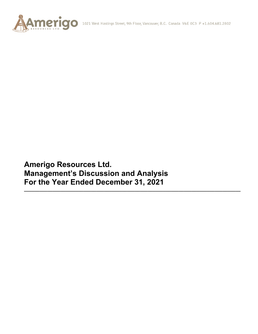

**Amerigo Resources Ltd. Management's Discussion and Analysis For the Year Ended December 31, 2021 \_\_\_\_\_\_\_\_\_\_\_\_\_\_\_\_\_\_\_\_\_\_\_\_\_\_\_\_\_\_\_\_\_\_\_\_\_\_\_\_\_\_\_\_\_\_\_\_\_\_\_\_\_\_\_\_\_\_\_\_\_\_\_\_\_\_\_\_\_\_\_\_\_\_\_\_\_\_\_\_\_\_\_\_**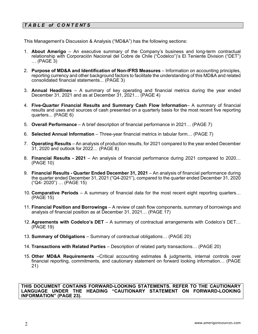# *T A B L E of C O N T E NT S*

This Management's Discussion & Analysis ("MD&A") has the following sections:

- 1. **About Amerigo**  An executive summary of the Company's business and long-term contractual relationship with Corporación Nacional del Cobre de Chile ("Codelco")'s El Teniente Division ("DET") … (PAGE 3)
- 2. **Purpose of MD&A and Identification of Non-IFRS Measures**  Information on accounting principles, reporting currency and other background factors to facilitate the understanding of this MD&A and related consolidated financial statements... (PAGE 3)
- 3. **Annual Headlines** A summary of key operating and financial metrics during the year ended December 31, 2021 and as at December 31, 2021… (PAGE 4)
- 4. **Five-Quarter Financial Results and Summary Cash Flow Information** A summary of financial results and uses and sources of cash presented on a quarterly basis for the most recent five reporting quarters... (PAGE 6)
- 5. **Overall Performance** A brief description of financial performance in 2021… (PAGE 7)
- 6. **Selected Annual Information** Three-year financial metrics in tabular form… (PAGE 7)
- 7. **Operating Results** An analysis of production results, for 2021 compared to the year ended December 31, 2020 and outlook for 2022… (PAGE 8)
- 8. **Financial Results 2021** An analysis of financial performance during 2021 compared to 2020… (PAGE 10)
- 9. **Financial Results Quarter Ended December 31, 2021** An analysis of financial performance during the quarter ended December 31, 2021 ("Q4-2021"), compared to the quarter ended December 31, 2020 ("Q4- 2020") … (PAGE 15)
- 10. **Comparative Periods** A summary of financial data for the most recent eight reporting quarters… (PAGE 15)
- 11. **Financial Position and Borrowings** A review of cash flow components, summary of borrowings and analysis of financial position as at December 31, 2021… (PAGE 17)
- 12. **Agreements with Codelco's DET** A summary of contractual arrangements with Codelco's DET… (PAGE 19)
- 13. **Summary of Obligations**  Summary of contractual obligations… (PAGE 20)
- 14. **Transactions with Related Parties** Description of related party transactions… (PAGE 20)
- 15. **Other MD&A Requirements** –Critical accounting estimates & judgments, internal controls over financial reporting, commitments, and cautionary statement on forward looking information… (PAGE 21)

#### **THIS DOCUMENT CONTAINS FORWARD-LOOKING STATEMENTS. REFER TO THE CAUTIONARY LANGUAGE UNDER THE HEADING "CAUTIONARY STATEMENT ON FORWARD-LOOKING INFORMATION" (PAGE 23).**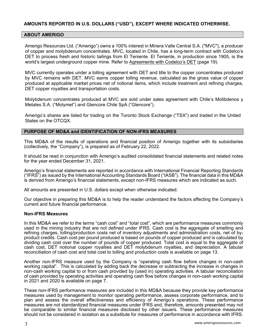# **AMOUNTS REPORTED IN U.S. DOLLARS ("USD"), EXCEPT WHERE INDICATED OTHERWISE.**

#### **ABOUT AMERIGO**

Amerigo Resources Ltd. ("Amerigo") owns a 100% interest in Minera Valle Central S.A. ("MVC"), a producer of copper and molybdenum concentrates. MVC, located in Chile, has a long-term contract with Codelco's DET to process fresh and historic tailings from El Teniente. El Teniente, in production since 1905, is the world's largest underground copper mine. Refer to Agreements with Codelco's DET (page 19).

MVC currently operates under a tolling agreement with DET and title to the copper concentrates produced by MVC remains with DET. MVC earns copper tolling revenue, calculated as the gross value of copper produced at applicable market prices net of notional items, which include treatment and refining charges, DET copper royalties and transportation costs.

Molybdenum concentrates produced at MVC are sold under sales agreement with Chile's Molibdenos y Metales S.A. ("Molymet") and Glencore Chile SpA ("Glencore").

Amerigo's shares are listed for trading on the Toronto Stock Exchange ("TSX") and traded in the United States on the OTCQX.

#### **PURPOSE OF MD&A and IDENTIFICATION OF NON-IFRS MEASURES**

This MD&A of the results of operations and financial position of Amerigo together with its subsidiaries (collectively, the "Company"), is prepared as of February 22, 2022.

It should be read in conjunction with Amerigo's audited consolidated financial statements and related notes for the year ended December 31, 2021.

Amerigo's financial statements are reported in accordance with International Financial Reporting Standards ("IFRS") as issued by the International Accounting Standards Board ("IASB"). The financial data in this MD&A is derived from Amerigo's financial statements, except non-IFRS measures which are indicated as such.

All amounts are presented in U.S. dollars except when otherwise indicated.

Our objective in preparing this MD&A is to help the reader understand the factors affecting the Company's current and future financial performance.

#### **Non-IFRS Measures**

In this MD&A we refer to the terms "cash cost" and "total cost", which are performance measures commonly used in the mining industry that are not defined under IFRS. Cash cost is the aggregate of smelting and refining charges, tolling/production costs net of inventory adjustments and administration costs, net of byproduct credits. Cash cost per pound produced is based on pounds of copper produced and is calculated by dividing cash cost over the number of pounds of copper produced. Total cost is equal to the aggregate of cash cost, DET notional copper royalties and DET molybdenum royalties, and depreciation. A tabular reconciliation of cash cost and total cost to tolling and production costs is available on page 13.

Another non-IFRS measure used by the Company is "operating cash flow before changes in non-cash working capital". This is calculated by adding back the decrease or subtracting the increase in changes in non-cash working capital to or from cash provided by (used in) operating activities. A tabular reconciliation of cash provided by operating activities and operating cash flow before changes in non-cash working capital in 2021 and 2020 is available on page 7.

These non-IFRS performance measures are included in this MD&A because they provide key performance measures used by management to monitor operating performance, assess corporate performance, and to plan and assess the overall effectiveness and efficiency of Amerigo's operations. These performance measures are not standardized financial measures under IFRS and, therefore, amounts presented may not be comparable to similar financial measures disclosed by other issuers. These performance measures should not be considered in isolation as a substitute for measures of performance in accordance with IFRS.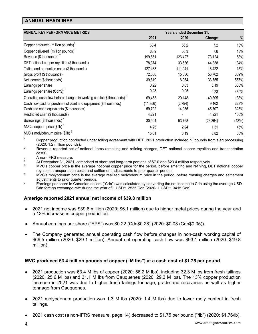# **ANNUAL HEADLINES**

| <b>ANNUAL KEY PERFORMANCE METRICS</b>                                    |           | Years ended December 31, |           |       |
|--------------------------------------------------------------------------|-----------|--------------------------|-----------|-------|
|                                                                          | 2021      | 2020                     | Change    | %     |
| Copper produced (million pounds) <sup>1</sup>                            | 63.4      | 56.2                     | 7.2       | 13%   |
| Copper delivered (million pounds) $^1$                                   | 63.9      | 56.3                     | 7.6       | 13%   |
| Revenue (\$ thousands) $2$                                               | 199,551   | 126,427                  | 73,124    | 58%   |
| DET notional copper royalties (\$ thousands)                             | 78,374    | 33,536                   | 44,838    | 134%  |
| Tolling and production costs (\$ thousands)                              | 127,463   | 111,041                  | 16,422    | 15%   |
| Gross profit (\$ thousands)                                              | 72,088    | 15,386                   | 56,702    | 369%  |
| Net income (\$ thousands)                                                | 39,819    | 6,064                    | 33,755    | 557%  |
| Earnings per share                                                       | 0.22      | 0.03                     | 0.19      | 633%  |
| Earnings per share (Cdn\$)'                                              | 0.28      | 0.05                     | 0.23      | 460%  |
| Operating cash flow before changes in working capital (\$ thousands) $3$ | 69,453    | 29,148                   | 40,305    | 138%  |
| Cash flow paid for purchase of plant and equipment (\$ thousands)        | (11, 956) | (2,794)                  | 9,162     | 328%  |
| Cash and cash equivalents (\$ thousands)                                 | 59,792    | 14,085                   | 45,707    | 325%  |
| Restricted cash (\$ thousands)                                           | 4,221     |                          | 4,221     | 100%  |
| Borrowings (\$ thousands) <sup>4</sup>                                   | 30,404    | 53,768                   | (23, 364) | (43%) |
| MC's copper price (\$/lb) <sup>5</sup>                                   | 4.25      | 2.94                     | 1.31      | 45%   |
| $M/C's$ molybdenum price $(\frac{6}{10})^6$                              | 15.01     | 8.19                     | 6.82      | 83%   |

<sup>1</sup> Copper production conducted under tolling agreement with DET. 2021 production included nil pounds from slag processing (2020: 1.2 million pounds).<br><sup>2</sup> Revenue reported net of notional items (smelting and refining charges, DET notional copper royalties and transportation

costs).

3 A non-IFRS measure.<br><sup>4</sup> At December 31, 2021, comprised of short and long-term portions of \$7.0 and \$23.4 million respectively.<br><sup>5</sup> MVC's copper price is the average notional copper price for the period, before smelting royalties, transportation costs and settlement adjustments to prior quarter periods.<br><sup>6</sup> MVC's molybdenum price is the average realized molybdenum price in the period, before roasting charges and settlement

adjustments to prior quarter periods.<br><sup>7</sup> Earnings per share in Canadian dollars ("Cdn") was calculated by converting the net income to Cdn using the average USD-

Cdn foreign exchange rate during the year of 1 USD:1.2535 Cdn (2020- 1 USD:1.3415 Cdn)

# **Amerigo reported 2021 annual net income of \$39.8 million**

- 2021 net income was \$39.8 million (2020: \$6.1 million) due to higher metal prices during the year and a 13% increase in copper production.
- Annual earnings per share ("EPS") was \$0.22 (Cdn\$0.28) (2020: \$0.03 (Cdn\$0.05)).
- The Company generated annual operating cash flow before changes in non-cash working capital of \$69.5 million (2020: \$29.1 million). Annual net operating cash flow was \$93.1 million (2020: \$19.8 million).

# **MVC produced 63.4 million pounds of copper ("M lbs") at a cash cost of \$1.75 per pound**

- 2021 production was 63.4 M lbs of copper (2020: 56.2 M lbs), including 32.3 M lbs from fresh tailings (2020: 25.6 M lbs) and 31.1 M lbs from Cauquenes (2020: 29.3 M lbs). The 13% copper production increase in 2021 was due to higher fresh tailings tonnage, grade and recoveries as well as higher tonnage from Cauquenes.
- 2021 molybdenum production was 1.3 M lbs (2020: 1.4 M lbs) due to lower moly content in fresh tailings.
- 2021 cash cost (a non-IFRS measure, page 14) decreased to \$1.75 per pound ("/lb") (2020: \$1.76/lb).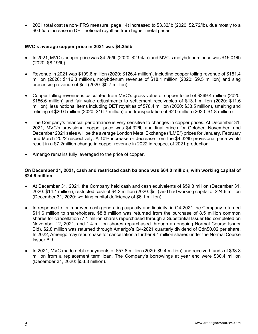2021 total cost (a non-IFRS measure, page 14) increased to \$3.32/lb (2020: \$2.72/lb), due mostly to a \$0.65/lb increase in DET notional royalties from higher metal prices.

### **MVC's average copper price in 2021 was \$4.25/lb**

- $\bullet$  In 2021, MVC's copper price was \$4.25/lb (2020: \$2.94/lb) and MVC's molybdenum price was \$15.01/lb (2020: \$8.19/lb).
- Revenue in 2021 was \$199.6 million (2020: \$126.4 million), including copper tolling revenue of \$181.4 million (2020: \$116.3 million), molybdenum revenue of \$18.1 million (2020: \$9.5 million) and slag processing revenue of \$nil (2020: \$0.7 million).
- Copper tolling revenue is calculated from MVC's gross value of copper tolled of \$269.4 million (2020: \$156.6 million) and fair value adjustments to settlement receivables of \$13.1 million (2020: \$11.6 million), less notional items including DET royalties of \$78.4 million (2020: \$33.5 million), smelting and refining of \$20.6 million (2020: \$16.7 million) and transportation of \$2.0 million (2020: \$1.8 million).
- The Company's financial performance is very sensitive to changes in copper prices. At December 31, 2021, MVC's provisional copper price was \$4.32/lb and final prices for October, November, and December 2021 sales will be the average London Metal Exchange ("LME") prices for January, February and March 2022 respectively. A 10% increase or decrease from the \$4.32/lb provisional price would result in a \$7.2million change in copper revenue in 2022 in respect of 2021 production.
- Amerigo remains fully leveraged to the price of copper.

### **On December 31, 2021, cash and restricted cash balance was \$64.0 million, with working capital of \$24.6 million**

- At December 31, 2021, the Company held cash and cash equivalents of \$59.8 million (December 31, 2020: \$14.1 million), restricted cash of \$4.2 million (2020: \$nil) and had working capital of \$24.6 million (December 31, 2020: working capital deficiency of \$6.1 million).
- In response to its improved cash generating capacity and liquidity, in Q4-2021 the Company returned \$11.6 million to shareholders. \$8.8 million was returned from the purchase of 8.5 million common shares for cancellation (7.1 million shares repurchased through a Substantial Issuer Bid completed on November 12, 2021, and 1.4 million shares repurchased through an ongoing Normal Course Issuer Bid). \$2.8 million was returned through Amerigo's Q4-2021 quarterly dividend of Cdn\$0.02 per share. In 2022, Amerigo may repurchase for cancellation a further 9.4 million shares under the Normal Course Issuer Bid.
- In 2021, MVC made debt repayments of \$57.8 million (2020: \$9.4 million) and received funds of \$33.8 million from a replacement term loan. The Company's borrowings at year end were \$30.4 million (December 31, 2020: \$53.8 million).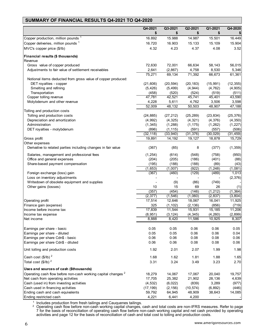# **SUMMARY OF FINANCIAL RESULTS Q4-2021 TO Q4-2020**

|                                                                                                                               |                 | Q1-2021         | Q4-2020         |
|-------------------------------------------------------------------------------------------------------------------------------|-----------------|-----------------|-----------------|
| \$<br>\$                                                                                                                      | \$              | \$              | \$              |
| Copper production, million pounds <sup>1</sup><br>16.892<br>15.988                                                            | 14.987          | 15.501          | 16.449          |
| Copper deliveries, million pounds 1<br>16.720<br>16.903                                                                       | 15.133          | 15.109          | 15.904          |
| MVC's copper price (\$/lb)<br>4.32<br>4.23                                                                                    | 4.37            | 4.08            | 3.52            |
| Financial results (\$ thousands)                                                                                              |                 |                 |                 |
| Revenue                                                                                                                       |                 |                 |                 |
| Gross value of copper produced<br>72,630<br>72,001<br>Adjustments to fair value of settlement receivables<br>2,641<br>(2,867) | 66,634          | 58,143<br>8,530 | 56,015          |
| 75,271<br>69,134                                                                                                              | 4,758<br>71,392 | 66,673          | 5,346<br>61,361 |
| Notional items deducted from gross value of copper produced:                                                                  |                 |                 |                 |
| DET royalties - copper<br>(20, 594)<br>(21, 606)                                                                              | (20, 183)       | (15, 991)       | (12, 355)       |
| Smelting and refining<br>(5, 426)<br>(5, 499)                                                                                 | (4, 944)        | (4, 762)        | (4,905)         |
| Transportation<br>(458)<br>(520)                                                                                              | (524)           | (519)           | (511)           |
| Copper tolling revenue<br>47,781<br>42,521                                                                                    | 45,741          | 45,401          | 43,590          |
| 4,228<br>5,611<br>Molybdenum and other revenue                                                                                | 4,762           | 3,506           | 3,598           |
| 52,009<br>48,132                                                                                                              | 50,503          | 48,907          | 47,188          |
| Tolling and production costs<br>Tolling and production costs<br>(24, 885)<br>(27, 212)                                        | (25, 289)       | (23, 834)       | (25, 376)       |
| Depreciation and amortization<br>(4,992)<br>(4, 325)                                                                          | (4, 321)        | (4,376)         | (4,350)         |
| Administration<br>(1, 345)<br>(1,288)                                                                                         | (1, 175)        | (1,262)         | (1, 227)        |
| DET royalties - molybdenum<br>(896)<br>(1, 115)                                                                               | (591)           | (557)           | (506)           |
| (32, 118)<br>(33,940)                                                                                                         | (31, 376)       | (30, 029)       | (31, 459)       |
| Gross profit<br>19,891<br>14,192                                                                                              | 19,127          | 18,878          | 15,729          |
| Other expenses                                                                                                                |                 |                 |                 |
| Derivative to related parties including changes in fair value<br>(367)<br>(85)                                                | 8               | (377)           | (1, 359)        |
| (1,254)<br>Salaries, management and professional fees<br>(614)                                                                | (548)           | (758)           | (950)           |
| Office and general expenses<br>(204)<br>(205)                                                                                 | (186)           | (401)           | (88)            |
| Share-based payment compensation<br>(195)<br>(188)                                                                            | (188)           | (89)            | (43)            |
| (1,653)<br>(1,007)                                                                                                            | (922)           | (1, 248)        | (1,081)         |
| (367)<br>(460)<br>Foreign exchange (loss) gain                                                                                | (129)           | (489)           | 1,013           |
| Loss on inventory adjustments<br>Writedown of obsolete equipment and supplies                                                 |                 |                 | (2,376)         |
| (9)<br>15<br>Other gains (losses)<br>10                                                                                       | (86)<br>69      | (749)<br>26     | (1)             |
| (357)<br>(454)                                                                                                                | (146)           | (1, 212)        | (1, 364)        |
| (2, 377)<br>(1, 546)                                                                                                          | (1,060)         | (2, 837)        | (3,804)         |
| 17,514<br>Operating profit<br>12,646                                                                                          | 18,067          | 16,041          | 11,925          |
| Finance gain (expense)<br>325<br>(1, 102)                                                                                     | (2, 136)        | (856)           | (719)           |
| 17,839<br>11,544<br>Income before income tax                                                                                  | 15,931          | 15,185          | 11,206          |
| Income tax expense<br>(8,951)<br>(3, 124)                                                                                     | (4, 345)        | (4,260)         | (2,899)         |
| 8,888<br>8,420<br>Net income                                                                                                  | 11,586          | 10,925          | 8,307           |
| 0.05<br>0.05<br>Earnings per share - basic                                                                                    | 0.06            | 0.06            | 0.05            |
| 0.05<br>0.05<br>Earnings per share - diluted                                                                                  | 0.06            | 0.06            | 0.04            |
| Earnings per share Cdn\$ - basic<br>0.06<br>0.06                                                                              | 0.08            | 0.08            | 0.06            |
| Earnings per share Cdn\$ - diluted<br>0.06<br>0.06                                                                            | 0.08            | 0.08            | 0.06            |
| 1.92<br>Unit tolling and production costs<br>2.01                                                                             | 2.07            | 1.99            | 1.98            |
|                                                                                                                               |                 |                 |                 |
| Cash cost $(\frac{6}{16})^2$<br>1.68<br>1.62                                                                                  | 1.81            | 1.88            | 1.65            |
| Total cost $($/lb)^2$<br>3.31<br>3.24                                                                                         | 3.49            | 3.23            | 2.70            |
| Uses and sources of cash (\$thousands)                                                                                        |                 |                 |                 |
| Operating cash flow before non-cash working capital changes <sup>2</sup><br>18,279<br>14,067                                  | 17,067          | 20,040          | 19,757          |
| 17,705<br>Net cash from operating activities<br>25,382                                                                        | 21,902          | 28,136          | 4,639           |
| Cash (used in) from investing activities<br>(4, 532)<br>(6,022)                                                               | (839)           | 3,289           | (977)           |
| Cash used in financing activities<br>(17, 199)<br>(2, 156)                                                                    | (10, 574)       | (6, 892)        | (446)           |
| 64,945<br>Ending cash and cash equivalents<br>59,792<br>Ending restricted cash<br>4,221<br>6,441                              | 48,909<br>4,200 | 38,643          | 14,085          |

 $1$  Includes production from fresh tailings and Cauquenes tailings.

 $^{\rm 2}$  Operating cash flow before non-cash working capital changes, cash and total costs are non-IFRS measures. Refer to page 7 for the basis of reconciliation of operating cash flow before non-cash working capital and net cash provided by operating activities and page 12 for the basis of reconciliation of cash and total cost to tolling and production costs.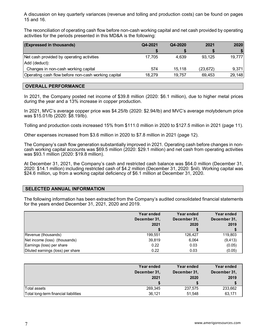A discussion on key quarterly variances (revenue and tolling and production costs) can be found on pages 15 and 16.

The reconciliation of operating cash flow before non-cash working capital and net cash provided by operating activities for the periods presented in this MD&A is the following:

| (Expressed in thousands)                            | Q4-2021 | Q4-2020 | 2021      | 2020   |
|-----------------------------------------------------|---------|---------|-----------|--------|
|                                                     |         |         |           |        |
| Net cash provided by operating activities           | 17.705  | 4.639   | 93,125    | 19,777 |
| Add (deduct):                                       |         |         |           |        |
| Changes in non-cash working capital                 | 574     | 15.118  | (23, 672) | 9,371  |
| Operating cash flow before non-cash working capital | 18.279  | 19.757  | 69.453    | 29,148 |

# **OVERALL PERFORMANCE**

In 2021, the Company posted net income of \$39.8 million (2020: \$6.1 million), due to higher metal prices during the year and a 13% increase in copper production.

In 2021, MVC's average copper price was \$4.25/lb (2020: \$2.94/lb) and MVC's average molybdenum price was \$15.01/lb (2020: \$8.19/lb).

Tolling and production costs increased 15% from \$111.0 million in 2020 to \$127.5 million in 2021 (page 11).

Other expenses increased from \$3.6 million in 2020 to \$7.8 million in 2021 (page 12).

The Company's cash flow generation substantially improved in 2021. Operating cash before changes in noncash working capital accounts was \$69.5 million (2020: \$29.1 million) and net cash from operating activities was \$93.1 million (2020: \$19.8 million).

At December 31, 2021, the Company's cash and restricted cash balance was \$64.0 million (December 31, 2020: \$14.1 million) including restricted cash of \$4.2 million (December 31, 2020: \$nil). Working capital was \$24.6 million, up from a working capital deficiency of \$6.1 million at December 31, 2020.

# **SELECTED ANNUAL INFORMATION**

The following information has been extracted from the Company's audited consolidated financial statements for the years ended December 31, 2021, 2020 and 2019.

|                                   | Year ended<br>December 31,<br>2021 | Year ended<br>December 31,<br>2020 | Year ended<br>December 31,<br>2019 |
|-----------------------------------|------------------------------------|------------------------------------|------------------------------------|
| Revenue (thousands)               | 199,551                            | 126.427                            | 119,803                            |
| Net income (loss) (thousands)     | 39,819                             | 6,064                              | (9, 413)                           |
| Earnings (loss) per share         | 0.22                               | 0.03                               | (0.05)                             |
| Diluted earnings (loss) per share | 0.22                               | 0.03                               | (0.05)                             |

|                                       | Year ended<br>December 31,<br>2021 | Year ended<br>December 31,<br>2020 | Year ended<br>December 31,<br>2019 |
|---------------------------------------|------------------------------------|------------------------------------|------------------------------------|
| Total assets                          | 269.345                            | 237.575                            | 233,662                            |
| Total long-term financial liabilities | 36,121                             | 51.548                             | 63,171                             |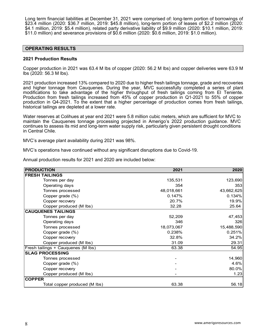Long term financial liabilities at December 31, 2021 were comprised of: long-term portion of borrowings of \$23.4 million (2020: \$36.7 million, 2019: \$45.8 million), long-term portion of leases of \$2.2 million (2020: \$4.1 million, 2019: \$5.4 million), related party derivative liability of \$9.9 million (2020: \$10.1 million, 2019: \$11.0 million) and severance provisions of \$0.6 million (2020: \$0.6 million, 2019: \$1.0 million).

## **OPERATING RESULTS**

#### **2021 Production Results**

Copper production in 2021 was 63.4 M lbs of copper (2020: 56.2 M lbs) and copper deliveries were 63.9 M lbs (2020: 56.3 M lbs).

2021 production increased 13% compared to 2020 due to higher fresh tailings tonnage, grade and recoveries and higher tonnage from Cauquenes. During the year, MVC successfully completed a series of plant modifications to take advantage of the higher throughput of fresh tailings coming from El Teniente. Production from fresh tailings increased from 45% of copper production in Q1-2021 to 55% of copper production in Q4-2021. To the extent that a higher percentage of production comes from fresh tailings, historical tailings are depleted at a lower rate.

Water reserves at Colihues at year end 2021 were 5.8 million cubic meters, which are sufficient for MVC to maintain the Cauquenes tonnage processing projected in Amerigo's 2022 production guidance. MVC continues to assess its mid and long-term water supply risk, particularly given persistent drought conditions in Central Chile.

MVC's average plant availability during 2021 was 98%.

MVC's operations have continued without any significant disruptions due to Covid-19.

| <b>PRODUCTION</b>                  | 2021       | 2020       |
|------------------------------------|------------|------------|
| <b>FRESH TAILINGS</b>              |            |            |
| Tonnes per day                     | 135,531    | 123,690    |
| Operating days                     | 354        | 353        |
| Tonnes processed                   | 48,018,661 | 43,662,625 |
| Copper grade (%)                   | 0.147%     | 0.134%     |
| Copper recovery                    | 20.7%      | 19.9%      |
| Copper produced (M lbs)            | 32.28      | 25.64      |
| <b>CAUQUENES TAILINGS</b>          |            |            |
| Tonnes per day                     | 52,209     | 47,453     |
| Operating days                     | 346        | 326        |
| Tonnes processed                   | 18,073,067 | 15,488,590 |
| Copper grade (%)                   | 0.238%     | 0.251%     |
| Copper recovery                    | 32.8%      | 34.2%      |
| Copper produced (M lbs)            | 31.09      | 29.31      |
| Fresh tailings + Cauquenes (M lbs) | 63.38      | 54.95      |
| <b>SLAG PROCESSING</b>             |            |            |
| Tonnes processed                   |            | 14,960     |
| Copper grade (%)                   |            | 4.6%       |
| Copper recovery                    |            | 80.0%      |
| Copper produced (M lbs)            |            | 1.23       |
| <b>COPPER</b>                      |            |            |
| Total copper produced (M lbs)      | 63.38      | 56.18      |

Annual production results for 2021 and 2020 are included below: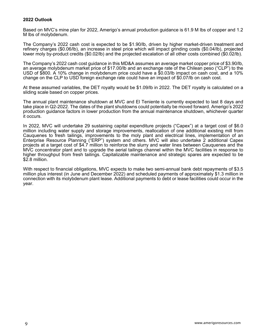### **2022 Outlook**

Based on MVC's mine plan for 2022, Amerigo's annual production guidance is 61.9 M lbs of copper and 1.2 M lbs of molybdenum.

The Company's 2022 cash cost is expected to be \$1.90/lb, driven by higher market-driven treatment and refinery charges (\$0.06/lb), an increase in steel price which will impact grinding costs (\$0.04/lb), projected lower moly by-product credits (\$0.02/lb) and the projected escalation of all other costs combined (\$0.02/lb).

The Company's 2022 cash cost guidance in this MD&A assumes an average market copper price of \$3.90/lb, an average molybdenum market price of \$17.00/lb and an exchange rate of the Chilean peso ("CLP") to the USD of \$800. A 10% change in molybdenum price could have a \$0.03/lb impact on cash cost, and a 10% change on the CLP to USD foreign exchange rate could have an impact of \$0.07/lb on cash cost.

At these assumed variables, the DET royalty would be \$1.09/lb in 2022. The DET royalty is calculated on a sliding scale based on copper prices.

The annual plant maintenance shutdown at MVC and El Teniente is currently expected to last 8 days and take place in Q2-2022. The dates of the plant shutdowns could potentially be moved forward. Amerigo's 2022 production guidance factors in lower production from the annual maintenance shutdown, whichever quarter it occurs.

In 2022, MVC will undertake 29 sustaining capital expenditure projects ("Capex") at a target cost of \$6.0 million including water supply and storage improvements, reallocation of one additional existing mill from Cauquenes to fresh tailings, improvements to the moly plant and electrical lines, implementation of an Enterprise Resource Planning ("ERP") system and others. MVC will also undertake 2 additional Capex projects at a target cost of \$4.7 million to reinforce the slurry and water lines between Cauquenes and the MVC concentrator plant and to upgrade the aerial tailings channel within the MVC facilities in response to higher throughput from fresh tailings. Capitalizable maintenance and strategic spares are expected to be \$2.8 million.

With respect to financial obligations, MVC expects to make two semi-annual bank debt repayments of \$3.5 million plus interest (in June and December 2022) and scheduled payments of approximately \$1.3 million in connection with its molybdenum plant lease. Additional payments to debt or lease facilities could occur in the year.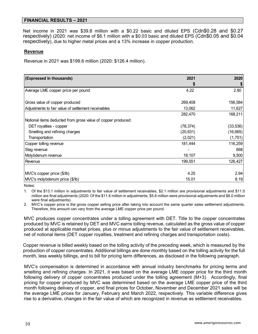## **FINANCIAL RESULTS – 2021**

Net income in 2021 was \$39.8 million with a \$0.22 basic and diluted EPS (Cdn\$0.28 and \$0.27 respectively) (2020: net income of \$6.1 million with a \$0.03 basic and diluted EPS (Cdn\$0.05 and \$0.04 respectively), due to higher metal prices and a 13% increase in copper production.

#### **Revenue**

Revenue in 2021 was \$199.6 million (2020: \$126.4 million).

| (Expressed in thousands)                                     | 2021      | 2020      |
|--------------------------------------------------------------|-----------|-----------|
|                                                              | \$        | \$        |
| Average LME copper price per pound                           | 4.22      | 2.80      |
|                                                              |           |           |
| Gross value of copper produced                               | 269,408   | 156,584   |
| Adjustments to fair value of settlement receivables          | 13,062    | 11,627    |
|                                                              | 282,470   | 168,211   |
| Notional items deducted from gross value of copper produced: |           |           |
| DET royalties - copper                                       | (78, 374) | (33, 536) |
| Smelting and refining charges                                | (20, 631) | (16, 665) |
| Transportation                                               | (2,021)   | (1,751)   |
| Copper tolling revenue                                       | 181,444   | 116,259   |
| Slag revenue                                                 |           | 668       |
| Molybdenum revenue                                           | 18,107    | 9,500     |
| Revenue                                                      | 199,551   | 126,427   |
|                                                              |           |           |
| MVC's copper price (\$/lb)                                   | 4.25      | 2.94      |
| MVC's molybdenum price (\$/lb)                               | 15.01     | 8.19      |

Notes:

1. Of the \$13.1 million in adjustments to fair value of settlement receivables, \$2.1 million are provisional adjustments and \$11.0 million are final adjustments (2020: Of the \$11.6 million in adjustments, \$5.6 million were provisional adjustments and \$6.0 million were final adjustments).

2. MVC's copper price is the gross copper selling price after taking into account the same quarter sales settlement adjustments. Therefore, this amount can vary from the average LME copper price per pound.

MVC produces copper concentrates under a tolling agreement with DET. Title to the copper concentrates produced by MVC is retained by DET and MVC earns tolling revenue, calculated as the gross value of copper produced at applicable market prices, plus or minus adjustments to the fair value of settlement receivables, net of notional items (DET copper royalties, treatment and refining charges and transportation costs).

Copper revenue is billed weekly based on the tolling activity of the preceding week, which is measured by the production of copper concentrates. Additional billings are done monthly based on the tolling activity for the full month, less weekly billings, and to bill for pricing term differences, as disclosed in the following paragraph.

MVC's compensation is determined in accordance with annual industry benchmarks for pricing terms and smelting and refining charges. In 2021, it was based on the average LME copper price for the third month following delivery of copper concentrates produced under the tolling agreement (M+3). Accordingly, final pricing for copper produced by MVC was determined based on the average LME copper price of the third month following delivery of copper, and final prices for October, November and December 2021 sales will be the average LME prices for January, February and March 2022, respectively. This variable difference gives rise to a derivative, changes in the fair value of which are recognized in revenue as settlement receivables.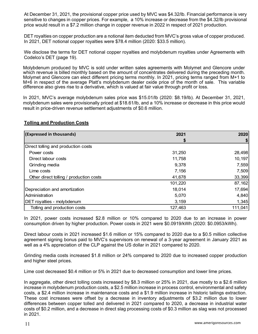At December 31, 2021, the provisional copper price used by MVC was \$4.32/lb. Financial performance is very sensitive to changes in copper prices. For example, a 10% increase or decrease from the \$4.32/lb provisional price would result in a \$7.2 million change in copper revenue in 2022 in respect of 2021 production.

DET royalties on copper production are a notional item deducted from MVC's gross value of copper produced. In 2021, DET notional copper royalties were \$78.4 million (2020: \$33.5 million).

We disclose the terms for DET notional copper royalties and molybdenum royalties under Agreements with Codelco's DET (page 19).

Molybdenum produced by MVC is sold under written sales agreements with Molymet and Glencore under which revenue is billed monthly based on the amount of concentrates delivered during the preceding month. Molymet and Glencore can elect different pricing terms monthly. In 2021, pricing terms ranged from M+1 to M+6 in respect of the average Platt's molybdenum dealer oxide price of the month of sale. This variable difference also gives rise to a derivative, which is valued at fair value through profit or loss.

In 2021, MVC's average molybdenum sales price was \$15.01/lb (2020: \$8.19/lb). At December 31, 2021, molybdenum sales were provisionally priced at \$18.61/lb, and a 10% increase or decrease in this price would result in price-driven revenue settlement adjustments of \$0.6 million.

| (Expressed in thousands)                | 2021    | 2020    |
|-----------------------------------------|---------|---------|
|                                         |         | \$I     |
| Direct tolling and production costs     |         |         |
| Power costs                             | 31,250  | 28,498  |
| Direct labour costs                     | 11,758  | 10,197  |
| Grinding media                          | 9,378   | 7,559   |
| Lime costs                              | 7,156   | 7,509   |
| Other direct tolling / production costs | 41,678  | 33,399  |
|                                         | 101,220 | 87,162  |
| Depreciation and amortization           | 18,014  | 17,694  |
| Administration                          | 5,070   | 4,840   |
| DET royalties - molybdenum              | 3,159   | 1,345   |
| Tolling and production costs            | 127,463 | 111,041 |

# **Tolling and Production Costs**

In 2021, power costs increased \$2.8 million or 10% compared to 2020 due to an increase in power consumption driven by higher production. Power costs in 2021 were \$0.0919/kWh (2020: \$0.0953/kWh).

Direct labour costs in 2021 increased \$1.6 million or 15% compared to 2020 due to a \$0.5 million collective agreement signing bonus paid to MVC's supervisors on renewal of a 3-year agreement in January 2021 as well as a 4% appreciation of the CLP against the US dollar in 2021 compared to 2020.

Grinding media costs increased \$1.8 million or 24% compared to 2020 due to increased copper production and higher steel prices.

Lime cost decreased \$0.4 million or 5% in 2021 due to decreased consumption and lower lime prices.

In aggregate, other direct tolling costs increased by \$8.3 million or 25% in 2021, due mostly to a \$2.6 million increase in molybdenum production costs, a \$2.5 million increase in process control, environmental and safety costs, a \$2.4 million increase in maintenance costs and a \$1.9 million increase in historic tailings extraction. These cost increases were offset by a decrease in inventory adjustments of \$3.2 million due to lower differences between copper tolled and delivered in 2021 compared to 2020, a decrease in industrial water costs of \$0.2 million, and a decrease in direct slag processing costs of \$0.3 million as slag was not processed in 2021.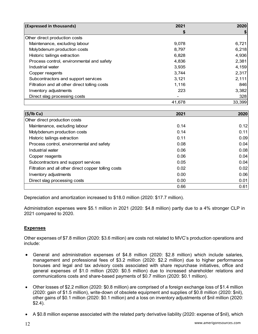| (Expressed in thousands)                      | 2021   | 2020   |
|-----------------------------------------------|--------|--------|
|                                               |        |        |
| Other direct production costs                 |        |        |
| Maintenance, excluding labour                 | 9,078  | 6,721  |
| Molybdenum production costs                   | 8,797  | 6,218  |
| Historic tailings extraction                  | 6,828  | 4,936  |
| Process control, environmental and safety     | 4,836  | 2,381  |
| Industrial water                              | 3,935  | 4,159  |
| Copper reagents                               | 3,744  | 2,317  |
| Subcontractors and support services           | 3,121  | 2,111  |
| Filtration and all other direct tolling costs | 1,116  | 846    |
| Inventory adjustments                         | 223    | 3,382  |
| Direct slag processing costs                  |        | 328    |
|                                               | 41,678 | 33,399 |

| (S/lb)                                               | 2021 | 2020 |
|------------------------------------------------------|------|------|
| Other direct production costs                        |      |      |
| Maintenance, excluding labour                        | 0.14 | 0.12 |
| Molybdenum production costs                          | 0.14 | 0.11 |
| Historic tailings extraction                         | 0.11 | 0.09 |
| Process control, environmental and safety            | 0.08 | 0.04 |
| Industrial water                                     | 0.06 | 0.08 |
| Copper reagents                                      | 0.06 | 0.04 |
| Subcontractors and support services                  | 0.05 | 0.04 |
| Filtration and all other direct copper tolling costs | 0.02 | 0.02 |
| Inventory adjustments                                | 0.00 | 0.06 |
| Direct slag processing costs                         | 0.00 | 0.01 |
|                                                      | 0.66 | 0.61 |

Depreciation and amortization increased to \$18.0 million (2020: \$17.7 million).

Administration expenses were \$5.1 million in 2021 (2020: \$4.8 million) partly due to a 4% stronger CLP in 2021 compared to 2020.

# **Expenses**

Other expenses of \$7.8 million (2020: \$3.6 million) are costs not related to MVC's production operations and include:

- General and administration expenses of \$4.8 million (2020: \$2.8 million) which include salaries, management and professional fees of \$3.2 million (2020: \$2.2 million) due to higher performance bonuses and legal and tax advisory costs associated with share repurchase initiatives, office and general expenses of \$1.0 million (2020: \$0.5 million) due to increased shareholder relations and communications costs and share-based payments of \$0.7 million (2020: \$0.1 million).
- Other losses of \$2.2 million (2020: \$0.8 million) are comprised of a foreign exchange loss of \$1.4 million (2020: gain of \$1.5 million), write-down of obsolete equipment and supplies of \$0.8 million (2020: \$nil), other gains of \$0.1 million (2020: \$0.1 million) and a loss on inventory adjustments of \$nil million (2020: \$2.4).
- A \$0.8 million expense associated with the related party derivative liability (2020: expense of \$nil), which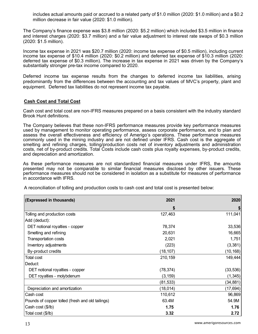includes actual amounts paid or accrued to a related party of \$1.0 million (2020: \$1.0 million) and a \$0.2 million decrease in fair value (2020: \$1.0 million).

The Company's finance expense was \$3.8 million (2020: \$5.2 million) which included \$3.5 million in finance and interest charges (2020: \$3.7 million) and a fair value adjustment to interest rate swaps of \$0.3 million (2020: \$1.5 million).

Income tax expense in 2021 was \$20.7 million (2020: income tax expense of \$0.5 million), including current income tax expense of \$10.4 million (2020: \$0.2 million) and deferred tax expense of \$10.3 million (2020: deferred tax expense of \$0.3 million). The increase in tax expense in 2021 was driven by the Company's substantially stronger pre-tax income compared to 2020.

Deferred income tax expense results from the changes to deferred income tax liabilities, arising predominantly from the differences between the accounting and tax values of MVC's property, plant and equipment. Deferred tax liabilities do not represent income tax payable.

# **Cash Cost and Total Cost**

Cash cost and total cost are non-IFRS measures prepared on a basis consistent with the industry standard Brook Hunt definitions.

The Company believes that these non-IFRS performance measures provide key performance measures used by management to monitor operating performance, assess corporate performance, and to plan and assess the overall effectiveness and efficiency of Amerigo's operations. These performance measures commonly used in the mining industry and are not defined under IFRS. Cash cost is the aggregate of smelting and refining charges, tolling/production costs net of inventory adjustments and administration costs, net of by-product credits. Total Costs include cash costs plus royalty expenses, by-product credits, and depreciation and amortization.

As these performance measures are not standardized financial measures under IFRS, the amounts presented may not be comparable to similar financial measures disclosed by other issuers. These performance measures should not be considered in isolation as a substitute for measures of performance in accordance with IFRS.

| (Expressed in thousands)                         | 2021      | 2020      |
|--------------------------------------------------|-----------|-----------|
|                                                  | S         | \$        |
| Tolling and production costs                     | 127,463   | 111,041   |
| Add (deduct):                                    |           |           |
| DET notional royalties - copper                  | 78,374    | 33,536    |
| Smelting and refining                            | 20,631    | 16,665    |
| <b>Transportation costs</b>                      | 2,021     | 1,751     |
| Inventory adjustments                            | (223)     | (3, 381)  |
| By-product credits                               | (18, 107) | (10, 168) |
| Total cost                                       | 210,159   | 149,444   |
| Deduct:                                          |           |           |
| DET notional royalties - copper                  | (78, 374) | (33, 536) |
| DET royalties - molybdenum                       | (3, 159)  | (1, 345)  |
|                                                  | (81, 533) | (34, 881) |
| Depreciation and amortization                    | (18, 014) | (17, 694) |
| Cash cost                                        | 110,612   | 96,869    |
| Pounds of copper tolled (fresh and old tailings) | 63.4M     | 54.9M     |
| Cash cost (\$/lb)                                | 1.75      | 1.76      |
| Total cost (\$/lb)                               | 3.32      | 2.72      |

A reconciliation of tolling and production costs to cash cost and total cost is presented below: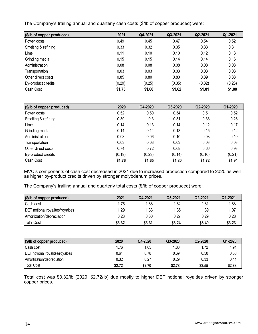The Company's trailing annual and quarterly cash costs (\$/lb of copper produced) were:

| (\$/lb of copper produced) | 2021   | Q4-2021 | Q3-2021 | Q2-2021 | Q1-2021 |
|----------------------------|--------|---------|---------|---------|---------|
| Power costs                | 0.49   | 0.45    | 0.47    | 0.54    | 0.52    |
| Smelting & refining        | 0.33   | 0.32    | 0.35    | 0.33    | 0.31    |
| Lime                       | 0.11   | 0.10    | 0.10    | 0.12    | 0.13    |
| Grinding media             | 0.15   | 0.15    | 0.14    | 0.14    | 0.16    |
| Administration             | 0.08   | 0.08    | 0.08    | 0.08    | 0.08    |
| Transportation             | 0.03   | 0.03    | 0.03    | 0.03    | 0.03    |
| Other direct costs         | 0.85   | 0.80    | 0.80    | 0.89    | 0.88    |
| By-product credits         | (0.29) | (0.25)  | (0.35)  | (0.32)  | (0.23)  |
| <b>Cash Cost</b>           | \$1.75 | \$1.68  | \$1.62  | \$1.81  | \$1.88  |

| (\$/lb of copper produced) | 2020   | Q4-2020 | Q3-2020 | Q2-2020 | Q1-2020 |
|----------------------------|--------|---------|---------|---------|---------|
| Power costs                | 0.52   | 0.50    | 0.54    | 0.51    | 0.52    |
| Smelting & refining        | 0.30   | 0.3     | 0.31    | 0.33    | 0.28    |
| Lime                       | 0.14   | 0.13    | 0.14    | 0.12    | 0.17    |
| Grinding media             | 0.14   | 0.14    | 0.13    | 0.15    | 0.12    |
| Administration             | 0.08   | 0.06    | 0.10    | 0.08    | 0.10    |
| Transportation             | 0.03   | 0.03    | 0.03    | 0.03    | 0.03    |
| Other direct costs         | 0.74   | 0.72    | 0.68    | 0.66    | 0.93    |
| By-product credits         | (0.19) | (0.23)  | (0.14)  | (0.16)  | (0.21)  |
| Cash Cost                  | \$1.76 | \$1.65  | \$1.80  | \$1.72  | \$1.94  |

MVC's components of cash cost decreased in 2021 due to increased production compared to 2020 as well as higher by-product credits driven by stronger molybdenum prices.

The Company's trailing annual and quarterly total costs (\$/lb of copper produced) were:

| (\$/lb of copper produced)              | 2021   | Q4-2021 | Q3-2021 | Q2-2021 | Q1-2021 |
|-----------------------------------------|--------|---------|---------|---------|---------|
| Cash cost                               | 1.75   | 1.68    | 1.62    | 1.81    | 1.88    |
| <b>DET</b> notional royalites/royalties | 1.29   | 1.33    | 1.35    | 1.39    | 1.07    |
| Amortization/depreciation               | 0.28   | 0.30    | 0.27    | 0.29    | 0.28    |
| <b>Total Cost</b>                       | \$3.32 | \$3.31  | \$3.24  | \$3.49  | \$3.23  |

| (\$/lb of copper produced)              | 2020   | Q4-2020 | Q3-2020 | Q2-2020 | Q1-2020 |
|-----------------------------------------|--------|---------|---------|---------|---------|
| Cash cost                               | 1.76   | 1.65    | 1.80    | 1.72    | 1.94    |
| <b>DET</b> notional royalites/royalties | 0.64   | 0.78    | 0.69    | 0.50    | 0.50    |
| Amortization/depreciation               | 0.32   | 0.27    | 0.29    | 0.33    | 0.44    |
| <b>Total Cost</b>                       | \$2.72 | \$2.70  | \$2.78  | \$2.55  | \$2.88  |

Total cost was \$3.32/lb (2020: \$2.72/lb) due mostly to higher DET notional royalties driven by stronger copper prices.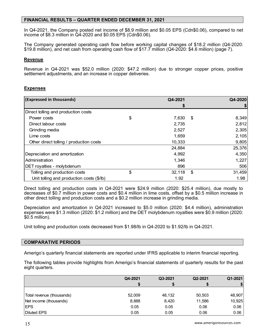# **FINANCIAL RESULTS – QUARTER ENDED DECEMBER 31, 2021**

In Q4-2021, the Company posted net income of \$8.9 million and \$0.05 EPS (Cdn\$0.06), compared to net income of \$8.3 million in Q4-2020 and \$0.05 EPS (Cdn\$0.06).

The Company generated operating cash flow before working capital changes of \$18.2 million (Q4-2020: \$19.8 million), and net cash from operating cash flow of \$17.7 million (Q4-2020: \$4.6 million) (page 7).

#### **Revenue**

Revenue in Q4-2021 was \$52.0 million (2020: \$47.2 million) due to stronger copper prices, positive settlement adjustments, and an increase in copper deliveries.

### **Expenses**

| (Expressed in thousands)                  | Q4-2021      |      | Q4-2020 |
|-------------------------------------------|--------------|------|---------|
|                                           |              |      | \$      |
| Direct tolling and production costs       |              |      |         |
| Power costs                               | \$<br>7,630  | - \$ | 8,349   |
| Direct labour costs                       | 2,735        |      | 2,812   |
| Grinding media                            | 2,527        |      | 2,305   |
| Lime costs                                | 1,659        |      | 2,105   |
| Other direct tolling / production costs   | 10,333       |      | 9,805   |
|                                           | 24,884       |      | 25,376  |
| Depreciation and amortization             | 4,992        |      | 4,350   |
| Administration                            | 1,346        |      | 1,227   |
| DET royalties - molybdenum                | 896          |      | 506     |
| Tolling and production costs              | \$<br>32,118 | \$   | 31,459  |
| Unit tolling and production costs (\$/lb) | 1.92         |      | 1.98    |

Direct tolling and production costs in Q4-2021 were \$24.9 million (2020: \$25.4 million), due mostly to decreases of \$0.7 million in power costs and \$0.4 million in lime costs, offset by a \$0.5 million increase in other direct tolling and production costs and a \$0.2 million increase in grinding media.

Depreciation and amortization in Q4-2021 increased to \$5.0 million (2020: \$4.4 million), administration expenses were \$1.3 million (2020: \$1.2 million) and the DET molybdenum royalties were \$0.9 million (2020: \$0.5 million).

Unit tolling and production costs decreased from \$1.98/lb in Q4-2020 to \$1.92/lb in Q4-2021.

#### **COMPARATIVE PERIODS**

Amerigo's quarterly financial statements are reported under IFRS applicable to interim financial reporting.

The following tables provide highlights from Amerigo's financial statements of quarterly results for the past eight quarters.

|                           | Q4-2021 | Q3-2021 | Q2-2021 | Q1-2021 |
|---------------------------|---------|---------|---------|---------|
|                           |         |         |         |         |
|                           |         |         |         |         |
| Total revenue (thousands) | 52,009  | 48,132  | 50,503  | 48,907  |
| Net income (thousands)    | 8,888   | 8,420   | 11,586  | 10,925  |
| <b>IEPS</b>               | 0.05    | 0.05    | 0.06    | 0.06    |
| Diluted EPS               | 0.05    | 0.05    | 0.06    | 0.06    |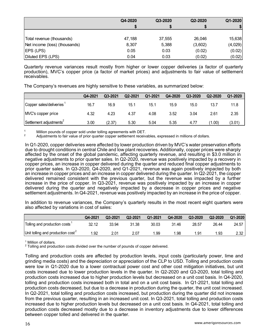|                               | Q4-2020 | Q3-2020 | Q2-2020 | Q1-2020 |
|-------------------------------|---------|---------|---------|---------|
|                               |         |         |         |         |
|                               |         |         |         |         |
| Total revenue (thousands)     | 47,188  | 37,555  | 26,046  | 15,638  |
| Net income (loss) (thousands) | 8,307   | 5,388   | (3,602) | (4,029) |
| EPS (LPS)                     | 0.05    | 0.03    | (0.02)  | (0.02)  |
| Diluted EPS (LPS)             | 0.04    | 0.03    | (0.02)  | (0.02)  |

Quarterly revenue variances result mostly from higher or lower copper deliveries (a factor of quarterly production), MVC's copper price (a factor of market prices) and adjustments to fair value of settlement receivables.

The Company's revenues are highly sensitive to these variables, as summarized below:

|                                     | Q4-2021 | Q3-2021 | Q2-2021 | Q1-2021 | Q4-2020 | Q3-2020 | Q2-2020 | Q1-2020 |
|-------------------------------------|---------|---------|---------|---------|---------|---------|---------|---------|
| Copper sales/deliveries             | 16.7    | 16.9    | 15.1    | 15.1    | 15.9    | 15.0    | 13.7    | 11.8    |
| MVC's copper price                  | 4.32    | 4.23    | 4.37    | 4.08    | 3.52    | 3.04    | 2.61    | 2.35    |
| Settlement adjustments <sup>2</sup> | 3.00    | (2.37)  | 5.30    | 5.04    | 5.35    | 4.77    | (00)    | (3.01)  |

1 Million pounds of copper sold under tolling agreements with DET.<br>2 Adjustments to fair value of prior quarter copper settlement receivables, expressed in millions of dollars.

In Q1-2020, copper deliveries were affected by lower production driven by MVC's water preservation efforts due to drought conditions in central Chile and low plant recoveries. Additionally, copper prices were sharply affected by the onset of the global pandemic, affecting quarterly revenue, and resulting in \$3.0 million in negative adjustments to prior quarter sales. In Q2-2020, revenue was positively impacted by a recovery in copper prices, an increase in copper delivered during the quarter and reduced final copper adjustments to prior quarter sales. In Q3-2020, Q4-2020, and Q1-2021, revenue was again positively impacted by both an increase in copper prices and an increase in copper delivered during the quarter. In Q2-2021, the copper delivered remained consistent with the previous quarter, but the revenue was impacted by a further increase in the price of copper. In Q3-2021, revenue was positively impacted by an increase in copper delivered during the quarter and negatively impacted by a decrease in copper prices and negative settlement adjustments. In Q4-2021, revenue was positively impacted by an increase in the price of copper.

In addition to revenue variances, the Company's quarterly results in the most recent eight quarters were also affected by variations in cost of sales:

|                                               | Q4-2021 | Q3-2021 | Q2-2021 | Q1-2021 | Q4-2020 | Q3-2020 | Q2-2020 | Q1-2020 |
|-----------------------------------------------|---------|---------|---------|---------|---------|---------|---------|---------|
| Tolling and production costs                  | 32.12   | 33.94   | 31.38   | 30.03   | 31.46   | 28.57   | 26.44   | 24.57   |
| Unit tolling and production cost <sup>2</sup> | 1.92    | 2.01    | 2.07    | .99     | .98     | 91      | l.93    | 2.32 I  |

1 Million of dollars.

 $2$  Tolling and production costs divided over the number of pounds of copper delivered.

Tolling and production costs are affected by production levels, input costs (particularly power, lime and grinding media costs) and the depreciation or appreciation of the CLP to USD. Tolling and production costs were low in Q1-2020 due to a lower contractual power cost and other cost mitigation initiatives, but unit costs increased due to lower production levels in the quarter. In Q2-2020 and Q3-2020, total tolling and production costs increased due to higher production levels but decreased on a unit cost basis. In Q4-2020, tolling and production costs increased both in total and on a unit cost basis. In Q1-2021, total tolling and production costs decreased, but due to a decrease in production during the quarter, the unit cost increased. In Q2-2021, total tolling and production costs increased, but production during the quarter did not increase from the previous quarter, resulting in an increased unit cost. In Q3-2021, total tolling and production costs increased due to higher production levels but decreased on a unit cost basis. In Q4-2021, total tolling and production costs decreased mostly due to a decrease in inventory adjustments due to lower differences between copper tolled and delivered in the quarter.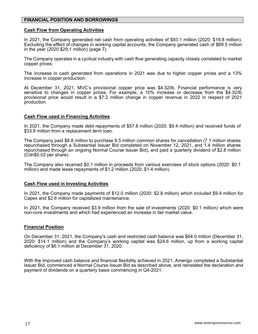### **FINANCIAL POSITION AND BORROWINGS**

#### **Cash Flow from Operating Activities**

In 2021, the Company generated net cash from operating activities of \$93.1 million (2020: \$19.8 million). Excluding the effect of changes in working capital accounts, the Company generated cash of \$69.5 million in the year (2020 \$29.1 million) (page 7).

The Company operates in a cyclical industry with cash flow generating capacity closely correlated to market copper prices.

The increase in cash generated from operations in 2021 was due to higher copper prices and a 13% increase in copper production.

At December 31, 2021, MVC's provisional copper price was \$4.32/lb. Financial performance is very sensitive to changes in copper prices. For example, a 10% increase or decrease from the \$4.32/lb provisional price would result in a \$7.2 million change in copper revenue in 2022 in respect of 2021 production.

#### **Cash Flow used in Financing Activities**

In 2021, the Company made debt repayments of \$57.8 million (2020: \$9.4 million) and received funds of \$33.8 million from a replacement term loan.

The Company paid \$8.8 million to purchase 8.5 million common shares for cancellation (7.1 million shares repurchased through a Substantial Issuer Bid completed on November 12, 2021, and 1.4 million shares repurchased through an ongoing Normal Course Issuer Bid), and paid a quarterly dividend of \$2.8 million (Cdn\$0.02 per share).

The Company also received \$0.1 million in proceeds from various exercises of stock options (2020: \$0.1 million) and made lease repayments of \$1.2 million (2020: \$1.4 million).

#### **Cash Flow used in Investing Activities**

In 2021, the Company made payments of \$12.0 million (2020: \$2.8 million) which included \$9.4 million for Capex and \$2.6 million for capitalized maintenance.

In 2021, the Company received \$3.9 million from the sale of investments (2020: \$0.1 million) which were non-core investments and which had experienced an increase in fair market value.

#### **Financial Position**

On December 31, 2021, the Company's cash and restricted cash balance was \$64.0 million (December 31, 2020: \$14.1 million) and the Company's working capital was \$24.6 million, up from a working capital deficiency of \$6.1 million at December 31, 2020.

With the improved cash balance and financial flexibility achieved in 2021, Amerigo completed a Substantial Issuer Bid, commenced a Normal Course Issuer Bid as described above, and reinstated the declaration and payment of dividends on a quarterly basis commencing in Q4-2021.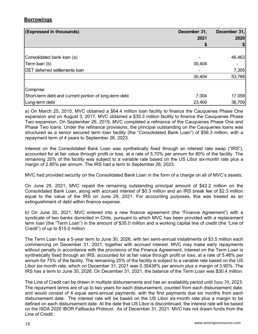# **Borrowings**

| (Expressed in thousands)                              | December 31, | December 31, |
|-------------------------------------------------------|--------------|--------------|
|                                                       | 2021         | 2020         |
|                                                       | S            |              |
|                                                       |              |              |
| Consolidated bank loan (a)                            |              | 46,463       |
| Term loan (b)                                         | 30,404       |              |
| <b>DET deferred settlements loan</b>                  |              | 7,305        |
|                                                       | 30,404       | 53,768       |
|                                                       |              |              |
| Comprise:                                             |              |              |
| Short-term debt and current portion of long-term debt | 7,004        | 17,059       |
| Long-term debt                                        | 23,400       | 36,709       |

a) On March 25, 2015, MVC obtained a \$64.4 million loan facility to finance the Cauquenes Phase One expansion and on August 3, 2017, MVC obtained a \$35.3 million facility to finance the Cauquenes Phase Two expansion. On September 26, 2019, MVC completed a refinance of the Cauquenes Phase One and Phase Two loans. Under the refinance provisions, the principal outstanding on the Cauquenes loans was structured as a senior secured term loan facility (the "Consolidated Bank Loan") of \$56.3 million, with a repayment term of 4 years to September 26, 2023.

Interest on the Consolidated Bank Loan was synthetically fixed through an interest rate swap ("IRS"), accounted for at fair value through profit or loss, at a rate of 5.70% per annum for 80% of the facility. The remaining 20% of the facility was subject to a variable rate based on the US Libor six-month rate plus a margin of 2.85% per annum. The IRS had a term to September 26, 2023.

MVC had provided security on the Consolidated Bank Loan in the form of a charge on all of MVC's assets.

On June 29, 2021, MVC repaid the remaining outstanding principal amount of \$42.2 million on the Consolidated Bank Loan, along with accrued interest of \$0.3 million and an IRS break fee of \$2.3 million equal to the value of the IRS on June 29, 2021. For accounting purposes, this was treated as an extinguishment of debt within finance expense.

b) On June 30, 2021, MVC entered into a new finance agreement (the "Finance Agreement") with a syndicate of two banks domiciled in Chile, pursuant to which MVC has been provided with a replacement term loan (the "Term Loan") in the amount of \$35.0 million and a working capital line of credit (the "Line of Credit") of up to \$15.0 million.

The Term Loan has a 5-year term to June 30, 2026, with ten semi-annual installments of \$3.5 million each commencing on December 31, 2021, together with accrued interest. MVC may make early repayments without penalty in accordance with the provisions of the Finance Agreement. Interest on the Term Loan is synthetically fixed through an IRS, accounted for at fair value through profit or loss, at a rate of 5.48% per annum for 75% of the facility. The remaining 25% of the facility is subject to a variable rate based on the US Libor six-month rate, which on December 31, 2021 was 0.35438% per annum plus a margin of 3.90%. The IRS has a term to June 30, 2026. On December 31, 2021, the balance of the Term Loan was \$30.4 million.

The Line of Credit can be drawn in multiple disbursements and has an availability period until June 30, 2023. The repayment terms are of up to two years for each disbursement, counted from each disbursement date, and would consist of 4 equal semi-annual payments, with the first payments due six months from each disbursement date. The interest rate will be based on the US Libor six-month rate plus a margin to be defined on each disbursement date. At the date that US Libor is discontinued, the interest rate will be based on the ISDA 2020 IBOR Fallbacks Protocol. As of December 31, 2021, MVC has not drawn funds from the Line of Credit.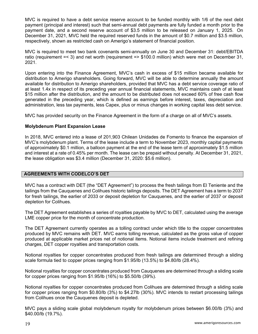MVC is required to have a debt service reserve account to be funded monthly with 1/6 of the next debt payment (principal and interest) such that semi-annual debt payments are fully funded a month prior to the payment date, and a second reserve account of \$3.5 million to be released on January 1, 2025. On December 31, 2021, MVC held the required reserved funds in the amount of \$0.7 million and \$3.5 million, respectively, shown as restricted cash on Amerigo's statement of financial position.

MVC is required to meet two bank covenants semi-annually on June 30 and December 31: debt/EBITDA ratio (requirement =< 3) and net worth (requirement => \$100.0 million) which were met on December 31, 2021.

Upon entering into the Finance Agreement, MVC's cash in excess of \$15 million became available for distribution to Amerigo shareholders. Going forward, MVC will be able to determine annually the amount available for distribution to Amerigo shareholders, provided that MVC has a debt service coverage ratio of at least 1.4x in respect of its preceding year annual financial statements, MVC maintains cash of at least \$15 million after the distribution, and the amount to be distributed does not exceed 60% of free cash flow generated in the preceding year, which is defined as earnings before interest, taxes, depreciation and administration, less tax payments, less Capex, plus or minus changes in working capital less debt service.

MVC has provided security on the Finance Agreement in the form of a charge on all of MVC's assets.

# **Molybdenum Plant Expansion Lease**

In 2018, MVC entered into a lease of 201,903 Chilean Unidades de Fomento to finance the expansion of MVC's molybdenum plant. Terms of the lease include a term to November 2023, monthly capital payments of approximately \$0.1 million, a balloon payment at the end of the lease term of approximately \$1.5 million and interest at a rate of 0.45% per month. The lease can be prepaid without penalty. At December 31, 2021, the lease obligation was \$3.4 million (December 31, 2020: \$5.6 million).

# **AGREEMENTS WITH CODELCO'S DET**

MVC has a contract with DET (the "DET Agreement") to process the fresh tailings from El Teniente and the tailings from the Cauquenes and Colihues historic tailings deposits. The DET Agreement has a term to 2037 for fresh tailings, the earlier of 2033 or deposit depletion for Cauquenes, and the earlier of 2037 or deposit depletion for Colihues.

The DET Agreement establishes a series of royalties payable by MVC to DET, calculated using the average LME copper price for the month of concentrate production.

The DET Agreement currently operates as a tolling contract under which title to the copper concentrates produced by MVC remains with DET. MVC earns tolling revenue, calculated as the gross value of copper produced at applicable market prices net of notional items. Notional items include treatment and refining charges, DET copper royalties and transportation costs.

Notional royalties for copper concentrates produced from fresh tailings are determined through a sliding scale formula tied to copper prices ranging from \$1.95/lb (13.5%) to \$4.80/lb (28.4%).

Notional royalties for copper concentrates produced from Cauquenes are determined through a sliding scale for copper prices ranging from \$1.95/lb (16%) to \$5.50/lb (39%).

Notional royalties for copper concentrates produced from Colihues are determined through a sliding scale for copper prices ranging from \$0.80/lb (3%) to \$4.27lb (30%). MVC intends to restart processing tailings from Colihues once the Cauquenes deposit is depleted.

MVC pays a sliding scale global molybdenum royalty for molybdenum prices between \$6.00/lb (3%) and \$40.00/lb (19.7%).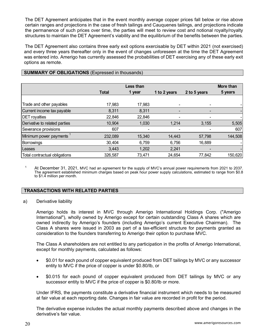The DET Agreement anticipates that in the event monthly average copper prices fall below or rise above certain ranges and projections in the case of fresh tailings and Cauquenes tailings, and projections indicate the permanence of such prices over time, the parties will meet to review cost and notional royalty/royalty structures to maintain the DET Agreement's viability and the equilibrium of the benefits between the parties.

The DET Agreement also contains three early exit options exercisable by DET within 2021 (not exercised) and every three years thereafter only in the event of changes unforeseen at the time the DET Agreement was entered into. Amerigo has currently assessed the probabilities of DET exercising any of these early exit options as remote.

## **SUMMARY OF OBLIGATIONS** (Expressed in thousands)

|                               |              | Less than |              |              | More than |
|-------------------------------|--------------|-----------|--------------|--------------|-----------|
|                               | <b>Total</b> | 1 year    | 1 to 2 years | 2 to 5 years | 5 years   |
|                               |              |           |              |              |           |
| Trade and other payables      | 17,983       | 17,983    |              |              |           |
| Current income tax payable    | 8,311        | 8,311     |              |              |           |
| DET royalties                 | 22,846       | 22,846    |              |              |           |
| Derivative to related parties | 10,904       | 1,030     | 1,214        | 3,155        | 5,505     |
| Severance provisions          | 607          |           |              |              | 607       |
| Minimum power payments        | 232,089      | 15,340    | 14,443       | 57,798       | 144,508   |
| Borrowings                    | 30,404       | 6,759     | 6,756        | 16,889       |           |
| Leases                        | 3,443        | 1,202     | 2,241        | -            |           |
| Total contractual obligations | 326,587      | 73,471    | 24,654       | 77,842       | 150,620   |

<sup>1</sup> At December 31, 2021, MVC had an agreement for the supply of MVC's annual power requirements from 2021 to 2037. The agreement established minimum charges based on peak hour power supply calculations, estimated to range from \$0.8 to \$1.4 million per month.

#### **TRANSACTIONS WITH RELATED PARTIES**

a) Derivative liability

Amerigo holds its interest in MVC through Amerigo International Holdings Corp. ("Amerigo International"), wholly owned by Amerigo except for certain outstanding Class A shares which are owned indirectly by Amerigo's founders (including Amerigo's current Executive Chairman). The Class A shares were issued in 2003 as part of a tax-efficient structure for payments granted as consideration to the founders transferring to Amerigo their option to purchase MVC.

The Class A shareholders are not entitled to any participation in the profits of Amerigo International, except for monthly payments, calculated as follows:

- \$0.01 for each pound of copper equivalent produced from DET tailings by MVC or any successor entity to MVC if the price of copper is under \$0.80/lb, or
- \$0.015 for each pound of copper equivalent produced from DET tailings by MVC or any successor entity to MVC if the price of copper is \$0.80/lb or more.

Under IFRS, the payments constitute a derivative financial instrument which needs to be measured at fair value at each reporting date. Changes in fair value are recorded in profit for the period.

The derivative expense includes the actual monthly payments described above and changes in the derivative's fair value.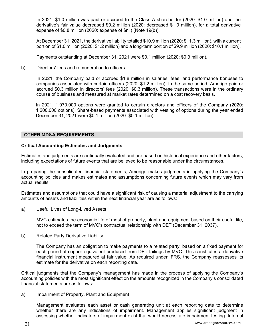In 2021, \$1.0 million was paid or accrued to the Class A shareholder (2020: \$1.0 million) and the derivative's fair value decreased \$0.2 million (2020: decreased \$1.0 million), for a total derivative expense of \$0.8 million (2020: expense of \$nil) (Note 19(b)).

At December 31, 2021, the derivative liability totalled \$10.9 million (2020: \$11.3 million), with a current portion of \$1.0 million (2020: \$1.2 million) and a long-term portion of \$9.9 million (2020: \$10.1 million).

Payments outstanding at December 31, 2021 were \$0.1 million (2020: \$0.3 million).

b) Directors' fees and remuneration to officers

 In 2021, the Company paid or accrued \$1.8 million in salaries, fees, and performance bonuses to companies associated with certain officers (2020: \$1.2 million). In the same period, Amerigo paid or accrued \$0.3 million in directors' fees (2020: \$0.3 million). These transactions were in the ordinary course of business and measured at market rates determined on a cost recovery basis.

In 2021, 1,970,000 options were granted to certain directors and officers of the Company (2020: 1,200,000 options). Share-based payments associated with vesting of options during the year ended December 31, 2021 were \$0.1 million (2020: \$0.1 million).

#### **OTHER MD&A REQUIREMENTS**

#### **Critical Accounting Estimates and Judgments**

Estimates and judgments are continually evaluated and are based on historical experience and other factors, including expectations of future events that are believed to be reasonable under the circumstances.

In preparing the consolidated financial statements, Amerigo makes judgments in applying the Company's accounting policies and makes estimates and assumptions concerning future events which may vary from actual results.

Estimates and assumptions that could have a significant risk of causing a material adjustment to the carrying amounts of assets and liabilities within the next financial year are as follows:

a) Useful Lives of Long-Lived Assets

MVC estimates the economic life of most of property, plant and equipment based on their useful life, not to exceed the term of MVC's contractual relationship with DET (December 31, 2037).

b) Related Party Derivative Liability

The Company has an obligation to make payments to a related party, based on a fixed payment for each pound of copper equivalent produced from DET tailings by MVC. This constitutes a derivative financial instrument measured at fair value. As required under IFRS, the Company reassesses its estimate for the derivative on each reporting date.

Critical judgments that the Company's management has made in the process of applying the Company's accounting policies with the most significant effect on the amounts recognized in the Company's consolidated financial statements are as follows:

a) Impairment of Property, Plant and Equipment

Management evaluates each asset or cash generating unit at each reporting date to determine whether there are any indications of impairment. Management applies significant judgment in assessing whether indicators of impairment exist that would necessitate impairment testing. Internal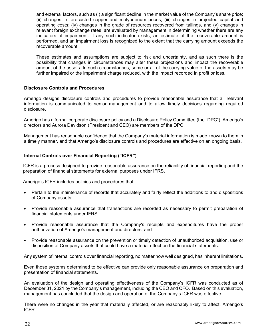and external factors, such as (i) a significant decline in the market value of the Company's share price; (ii) changes in forecasted copper and molybdenum prices; (iii) changes in projected capital and operating costs; (iv) changes in the grade of resources recovered from tailings, and (v) changes in relevant foreign exchange rates, are evaluated by management in determining whether there are any indicators of impairment. If any such indicator exists, an estimate of the recoverable amount is performed, and an impairment loss is recognized to the extent that the carrying amount exceeds the recoverable amount.

These estimates and assumptions are subject to risk and uncertainty, and as such there is the possibility that changes in circumstances may alter these projections and impact the recoverable amount of the assets. In such circumstances, some or all of the carrying value of the assets may be further impaired or the impairment charge reduced, with the impact recorded in profit or loss.

# **Disclosure Controls and Procedures**

Amerigo designs disclosure controls and procedures to provide reasonable assurance that all relevant information is communicated to senior management and to allow timely decisions regarding required disclosure.

Amerigo has a formal corporate disclosure policy and a Disclosure Policy Committee (the "DPC"). Amerigo's directors and Aurora Davidson (President and CEO) are members of the DPC.

Management has reasonable confidence that the Company's material information is made known to them in a timely manner, and that Amerigo's disclosure controls and procedures are effective on an ongoing basis.

### **Internal Controls over Financial Reporting ("ICFR")**

ICFR is a process designed to provide reasonable assurance on the reliability of financial reporting and the preparation of financial statements for external purposes under IFRS.

Amerigo's ICFR includes policies and procedures that:

- Pertain to the maintenance of records that accurately and fairly reflect the additions to and dispositions of Company assets;
- Provide reasonable assurance that transactions are recorded as necessary to permit preparation of financial statements under IFRS;
- Provide reasonable assurance that the Company's receipts and expenditures have the proper authorization of Amerigo's management and directors; and
- Provide reasonable assurance on the prevention or timely detection of unauthorized acquisition, use or disposition of Company assets that could have a material effect on the financial statements.

Any system of internal controls over financial reporting, no matter how well designed, has inherent limitations.

Even those systems determined to be effective can provide only reasonable assurance on preparation and presentation of financial statements.

An evaluation of the design and operating effectiveness of the Company's ICFR was conducted as of December 31, 2021 by the Company's management, including the CEO and CFO. Based on this evaluation, management has concluded that the design and operation of the Company's ICFR was effective.

There were no changes in the year that materially affected, or are reasonably likely to affect, Amerigo's ICFR.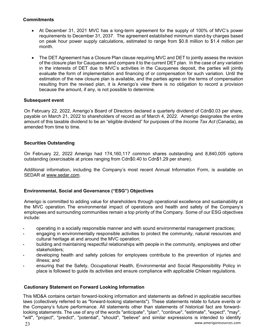# **Commitments**

- At December 31, 2021 MVC has a long-term agreement for the supply of 100% of MVC's power requirements to December 31, 2037. The agreement established minimum stand-by charges based on peak hour power supply calculations, estimated to range from \$0.8 million to \$1.4 million per month.
- The DET Agreement has a Closure Plan clause requiring MVC and DET to jointly assess the revision of the closure plan for Cauquenes and compare it to the current DET plan. In the case of any variation in the interests of DET due to MVC's activities in the Cauquenes deposit, the parties will jointly evaluate the form of implementation and financing of or compensation for such variation. Until the estimation of the new closure plan is available, and the parties agree on the terms of compensation resulting from the revised plan, it is Amerigo's view there is no obligation to record a provision because the amount, if any, is not possible to determine.

# **Subsequent event**

On February 22, 2022, Amerigo's Board of Directors declared a quarterly dividend of Cdn\$0.03 per share, payable on March 21, 2022 to shareholders of record as of March 4, 2022. Amerigo designates the entire amount of this taxable dividend to be an "eligible dividend" for purposes of the *Income Tax Act* (Canada), as amended from time to time.

# **Securities Outstanding**

On February 22, 2022 Amerigo had 174,160,117 common shares outstanding and 8,840,005 options outstanding (exercisable at prices ranging from Cdn\$0.40 to Cdn\$1.29 per share).

Additional information, including the Company's most recent Annual Information Form, is available on SEDAR at www.sedar.com.

# **Environmental, Social and Governance ("ESG") Objectives**

Amerigo is committed to adding value for shareholders through operational excellence and sustainability at the MVC operation. The environmental impact of operations and health and safety of the Company's employees and surrounding communities remain a top priority of the Company. Some of our ESG objectives include:

- operating in a socially responsible manner and with sound environmental management practices;
- engaging in environmentally responsible activities to protect the community, natural resources and cultural heritage at and around the MVC operation;
- building and maintaining respectful relationships with people in the community, employees and other stakeholders;
- developing health and safety policies for employees contribute to the prevention of injuries and illness; and
- ensuring that the Safety, Occupational Health, Environmental and Social Responsibility Policy in place is followed to guide its activities and ensure compliance with applicable Chilean regulations.

# **Cautionary Statement on Forward Looking Information**

 www.amerigoresources.com 23 This MD&A contains certain forward-looking information and statements as defined in applicable securities laws (collectively referred to as "forward-looking statements"). These statements relate to future events or the Company's future performance. All statements other than statements of historical fact are forwardlooking statements. The use of any of the words "anticipate", "plan", "continue", "estimate", "expect", "may", "will", "project", "predict", "potential", "should", "believe" and similar expressions is intended to identify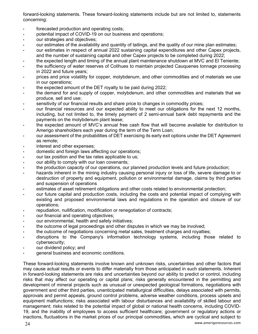forward-looking statements. These forward-looking statements include but are not limited to, statements concerning:

- forecasted production and operating costs:
- potential impact of COVID-19 on our business and operations;
- our strategies and objectives;
- our estimates of the availability and quantity of tailings, and the quality of our mine plan estimates;
- our estimates in respect of annual 2022 sustaining capital expenditures and other Capex projects, and the number of sustaining capital and other Capex projects to be completed during 2022;
- the expected length and timing of the annual plant maintenance shutdown at MVC and El Teniente;
- the sufficiency of water reserves of Colihues to maintain projected Cauquenes tonnage processing in 2022 and future years;
- prices and price volatility for copper, molybdenum, and other commodities and of materials we use in our operations;
- the expected amount of the DET royalty to be paid during 2022;
- the demand for and supply of copper, molybdenum, and other commodities and materials that we produce, sell and use;
- sensitivity of our financial results and share price to changes in commodity prices;
- our financial resources and our expected ability to meet our obligations for the next 12 months, including, but not limited to, the timely payment of 2 semi-annual bank debt repayments and the payments on the molybdenum plant lease;
- the expected amount of MVC's annual free cash flow that will become available for distribution to Amerigo shareholders each year during the term of the Term Loan;
- our assessment of the probabilities of DET exercising its early exit options under the DET Agreement as remote;
- interest and other expenses;
- domestic and foreign laws affecting our operations;
- our tax position and the tax rates applicable to us;
- our ability to comply with our loan covenants;
- the production capacity of our operations, our planned production levels and future production;
- hazards inherent in the mining industry causing personal injury or loss of life, severe damage to or destruction of property and equipment, pollution or environmental damage, claims by third parties and suspension of operations
- estimates of asset retirement obligations and other costs related to environmental protection;
- our future capital and production costs, including the costs and potential impact of complying with existing and proposed environmental laws and regulations in the operation and closure of our operations;
- repudiation, nullification, modification or renegotiation of contracts;
- our financial and operating objectives;
- our environmental, health and safety initiatives;
- the outcome of legal proceedings and other disputes in which we may be involved;
- the outcome of negotiations concerning metal sales, treatment charges and royalties;
- disruptions to the Company's information technology systems, including those related to cybersecurity;
- our dividend policy; and
- general business and economic conditions.

These forward-looking statements involve known and unknown risks, uncertainties and other factors that may cause actual results or events to differ materially from those anticipated in such statements. Inherent in forward-looking statements are risks and uncertainties beyond our ability to predict or control, including risks that may affect our operating or capital plans; risks generally encountered in the permitting and development of mineral projects such as unusual or unexpected geological formations, negotiations with government and other third parties, unanticipated metallurgical difficulties, delays associated with permits, approvals and permit appeals, ground control problems, adverse weather conditions, process upsets and equipment malfunctions; risks associated with labour disturbances and availability of skilled labour and management; risks related to the potential impact of global or national health concerns, including COVID-19, and the inability of employees to access sufficient healthcare; government or regulatory actions or inactions, fluctuations in the market prices of our principal commodities, which are cyclical and subject to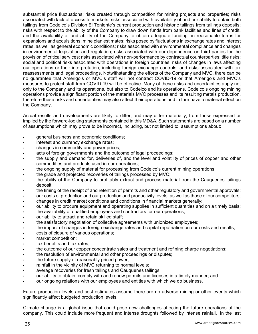substantial price fluctuations; risks created through competition for mining projects and properties; risks associated with lack of access to markets; risks associated with availability of and our ability to obtain both tailings from Codelco's Division El Teniente's current production and historic tailings from tailings deposits; risks with respect to the ability of the Company to draw down funds from bank facilities and lines of credit, and the availability of and ability of the Company to obtain adequate funding on reasonable terms for expansions and acquisitions; mine plan estimates; risks posed by fluctuations in exchange rates and interest rates, as well as general economic conditions; risks associated with environmental compliance and changes in environmental legislation and regulation; risks associated with our dependence on third parties for the provision of critical services; risks associated with non-performance by contractual counterparties; title risks; social and political risks associated with operations in foreign countries; risks of changes in laws affecting our operations or their interpretation, including foreign exchange controls; and risks associated with tax reassessments and legal proceedings. Notwithstanding the efforts of the Company and MVC, there can be no guarantee that Amerigo's or MVC's staff will not contract COVID-19 or that Amerigo's and MVC's measures to protect staff from COVID-19 will be effective. Many of these risks and uncertainties apply not only to the Company and its operations, but also to Codelco and its operations. Codelco's ongoing mining operations provide a significant portion of the materials MVC processes and its resulting metals production, therefore these risks and uncertainties may also affect their operations and in turn have a material effect on the Company.

Actual results and developments are likely to differ, and may differ materially, from those expressed or implied by the forward-looking statements contained in this MD&A. Such statements are based on a number of assumptions which may prove to be incorrect, including, but not limited to, assumptions about:

- general business and economic conditions;
- interest and currency exchange rates;
- changes in commodity and power prices;
- acts of foreign governments and the outcome of legal proceedings;
- the supply and demand for, deliveries of, and the level and volatility of prices of copper and other commodities and products used in our operations;
- the ongoing supply of material for processing from Codelco's current mining operations;
- the grade and projected recoveries of tailings processed by MVC;
- the ability of the Company to profitably extract and process material from the Cauquenes tailings deposit;
- the timing of the receipt of and retention of permits and other regulatory and governmental approvals;
- our costs of production and our production and productivity levels, as well as those of our competitors;
- changes in credit market conditions and conditions in financial markets generally;
- our ability to procure equipment and operating supplies in sufficient quantities and on a timely basis;
- the availability of qualified employees and contractors for our operations;
- our ability to attract and retain skilled staff;
- the satisfactory negotiation of collective agreements with unionized employees;
- the impact of changes in foreign exchange rates and capital repatriation on our costs and results;
- costs of closure of various operations;
- market competition;
- tax benefits and tax rates;
- the outcome of our copper concentrate sales and treatment and refining charge negotiations;
- the resolution of environmental and other proceedings or disputes;
- the future supply of reasonably priced power;
- rainfall in the vicinity of MVC returning to normal levels;
- average recoveries for fresh tailings and Cauquenes tailings;
- our ability to obtain, comply with and renew permits and licenses in a timely manner; and
- our ongoing relations with our employees and entities with which we do business.

Future production levels and cost estimates assume there are no adverse mining or other events which significantly affect budgeted production levels.

Climate change is a global issue that could pose new challenges affecting the future operations of the company. This could include more frequent and intense droughts followed by intense rainfall. In the last